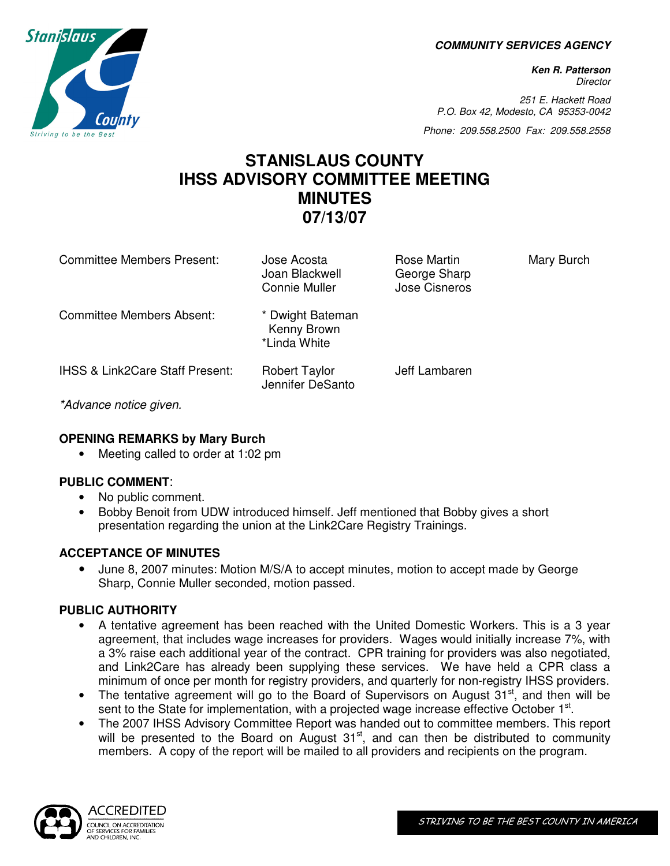**COMMUNITY SERVICES AGENCY** 

**Ken R. Patterson Director** 

251 E. Hackett Road P.O. Box 42, Modesto, CA 95353-0042

Phone: 209.558.2500 Fax: 209.558.2558

# **STANISLAUS COUNTY IHSS ADVISORY COMMITTEE MEETING MINUTES 07/13/07**

| <b>Committee Members Present:</b>          | Jose Acosta<br>Joan Blackwell<br><b>Connie Muller</b> | Rose Martin<br>George Sharp<br>Jose Cisneros | Mary Burch |
|--------------------------------------------|-------------------------------------------------------|----------------------------------------------|------------|
| Committee Members Absent:                  | * Dwight Bateman<br>Kenny Brown<br>*Linda White       |                                              |            |
| <b>IHSS &amp; Link2Care Staff Present:</b> | <b>Robert Taylor</b><br>Jennifer DeSanto              | Jeff Lambaren                                |            |
| $*A$                                       |                                                       |                                              |            |

\*Advance notice given.

## **OPENING REMARKS by Mary Burch**

• Meeting called to order at 1:02 pm

### **PUBLIC COMMENT**:

- No public comment.
- Bobby Benoit from UDW introduced himself. Jeff mentioned that Bobby gives a short presentation regarding the union at the Link2Care Registry Trainings.

### **ACCEPTANCE OF MINUTES**

• June 8, 2007 minutes: Motion M/S/A to accept minutes, motion to accept made by George Sharp, Connie Muller seconded, motion passed.

### **PUBLIC AUTHORITY**

- A tentative agreement has been reached with the United Domestic Workers. This is a 3 year agreement, that includes wage increases for providers. Wages would initially increase 7%, with a 3% raise each additional year of the contract. CPR training for providers was also negotiated, and Link2Care has already been supplying these services. We have held a CPR class a minimum of once per month for registry providers, and quarterly for non-registry IHSS providers.
- The tentative agreement will go to the Board of Supervisors on August  $31<sup>st</sup>$ , and then will be sent to the State for implementation, with a projected wage increase effective October 1<sup>st</sup>.
- The 2007 IHSS Advisory Committee Report was handed out to committee members. This report will be presented to the Board on August 31<sup>st</sup>, and can then be distributed to community members. A copy of the report will be mailed to all providers and recipients on the program.